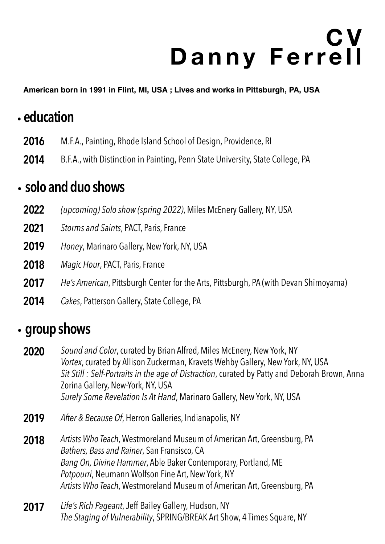# **C V Danny Ferrell**

**American born in 1991 in Flint, MI, USA ; Lives and works in Pittsburgh, PA, USA**

## .**education**

- **2016** M.F.A., Painting, Rhode Island School of Design, Providence, RI
- **2014** B.F.A., with Distinction in Painting, Penn State University, State College, PA

#### .**solo and duo shows**

- **2022** *(upcoming) Solo show (spring 2022)*, Miles McEnery Gallery, NY, USA
- **2021** *Storms and Saints*, PACT, Paris, France
- **2019** *Honey*, Marinaro Gallery, New York, NY, USA
- *Magic Hour*, PACT, Paris, France **2018**
- *He's American*, Pittsburgh Center for the Arts, Pittsburgh, PA (with Devan Shimoyama) **2017**
- *Cakes*, Patterson Gallery, State College, PA **2014**

#### . **group shows**

- *Sound and Color*, curated by Brian Alfred, Miles McEnery, New York, NY *Vortex*, curated by Allison Zuckerman, Kravets Wehby Gallery, New York, NY, USA *Sit Still : Self-Portraits in the age of Distraction*, curated by Patty and Deborah Brown, Anna Zorina Gallery, New-York, NY, USA *Surely Some Revelation Is At Hand*, Marinaro Gallery, New York, NY, USA **2020**
- *After & Because Of*, Herron Galleries, Indianapolis, NY **2019**
- *Artists Who Teach*, Westmoreland Museum of American Art, Greensburg, PA *Bathers, Bass and Rainer*, San Fransisco, CA *Bang On, Divine Hammer*, Able Baker Contemporary, Portland, ME *Potpourri*, Neumann Wolfson Fine Art, New York, NY *Artists Who Teach*, Westmoreland Museum of American Art, Greensburg, PA **2018**
- *Life's Rich Pageant*, Jeff Bailey Gallery, Hudson, NY *The Staging of Vulnerability*, SPRING/BREAK Art Show, 4 Times Square, NY **2017**